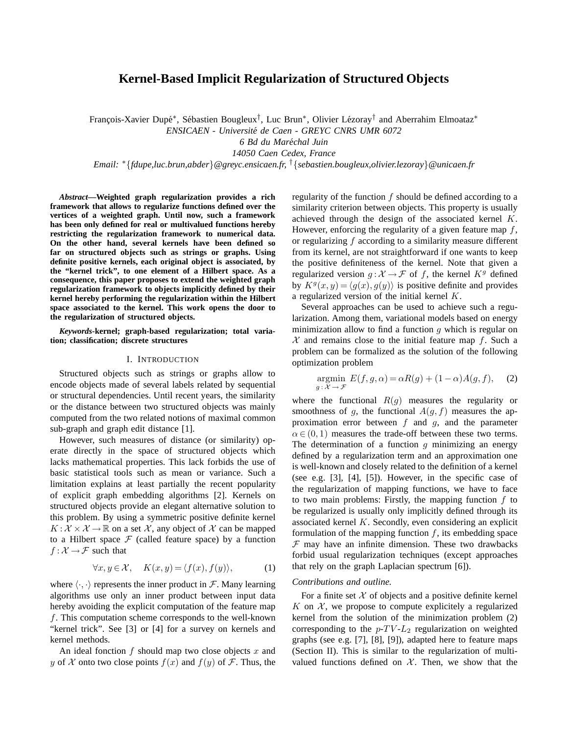# **Kernel-Based Implicit Regularization of Structured Objects**

François-Xavier Dupé\*, Sébastien Bougleux<sup>†</sup>, Luc Brun\*, Olivier Lézoray<sup>†</sup> and Aberrahim Elmoataz\*

*ENSICAEN - Universite de Caen - GREYC CNRS UMR 6072 ´*

*6 Bd du Marechal Juin ´*

*14050 Caen Cedex, France*

*Email:* <sup>∗</sup>{*fdupe,luc.brun,abder*}*@greyc.ensicaen.fr,* †{*sebastien.bougleux,olivier.lezoray*}*@unicaen.fr*

*Abstract***—Weighted graph regularization provides a rich framework that allows to regularize functions defined over the vertices of a weighted graph. Until now, such a framework has been only defined for real or multivalued functions hereby restricting the regularization framework to numerical data. On the other hand, several kernels have been defined so far on structured objects such as strings or graphs. Using definite positive kernels, each original object is associated, by the "kernel trick", to one element of a Hilbert space. As a consequence, this paper proposes to extend the weighted graph regularization framework to objects implicitly defined by their kernel hereby performing the regularization within the Hilbert space associated to the kernel. This work opens the door to the regularization of structured objects.**

*Keywords***-kernel; graph-based regularization; total variation; classification; discrete structures**

#### I. INTRODUCTION

Structured objects such as strings or graphs allow to encode objects made of several labels related by sequential or structural dependencies. Until recent years, the similarity or the distance between two structured objects was mainly computed from the two related notions of maximal common sub-graph and graph edit distance [1].

However, such measures of distance (or similarity) operate directly in the space of structured objects which lacks mathematical properties. This lack forbids the use of basic statistical tools such as mean or variance. Such a limitation explains at least partially the recent popularity of explicit graph embedding algorithms [2]. Kernels on structured objects provide an elegant alternative solution to this problem. By using a symmetric positive definite kernel  $K: \mathcal{X} \times \mathcal{X} \to \mathbb{R}$  on a set X, any object of X can be mapped to a Hilbert space  $F$  (called feature space) by a function  $f: \mathcal{X} \rightarrow \mathcal{F}$  such that

$$
\forall x, y \in \mathcal{X}, \quad K(x, y) = \langle f(x), f(y) \rangle, \tag{1}
$$

where  $\langle \cdot, \cdot \rangle$  represents the inner product in F. Many learning algorithms use only an inner product between input data hereby avoiding the explicit computation of the feature map f. This computation scheme corresponds to the well-known "kernel trick". See [3] or [4] for a survey on kernels and kernel methods.

An ideal fonction  $f$  should map two close objects  $x$  and y of X onto two close points  $f(x)$  and  $f(y)$  of F. Thus, the regularity of the function  $f$  should be defined according to a similarity criterion between objects. This property is usually achieved through the design of the associated kernel K. However, enforcing the regularity of a given feature map  $f$ , or regularizing f according to a similarity measure different from its kernel, are not straightforward if one wants to keep the positive definiteness of the kernel. Note that given a regularized version  $g: \mathcal{X} \to \mathcal{F}$  of f, the kernel  $K^g$  defined by  $K^g(x, y) = \langle g(x), g(y) \rangle$  is positive definite and provides a regularized version of the initial kernel K.

Several approaches can be used to achieve such a regularization. Among them, variational models based on energy minimization allow to find a function  $q$  which is regular on  $X$  and remains close to the initial feature map f. Such a problem can be formalized as the solution of the following optimization problem

$$
\underset{g \,:\, \mathcal{X} \,\to\, \mathcal{F}}{\text{argmin}} \ E(f, g, \alpha) = \alpha R(g) + (1 - \alpha) A(g, f), \quad (2)
$$

where the functional  $R(g)$  measures the regularity or smoothness of g, the functional  $A(g, f)$  measures the approximation error between  $f$  and  $g$ , and the parameter  $\alpha \in (0, 1)$  measures the trade-off between these two terms. The determination of a function q minimizing an energy defined by a regularization term and an approximation one is well-known and closely related to the definition of a kernel (see e.g. [3], [4], [5]). However, in the specific case of the regularization of mapping functions, we have to face to two main problems: Firstly, the mapping function  $f$  to be regularized is usually only implicitly defined through its associated kernel K. Secondly, even considering an explicit formulation of the mapping function  $f$ , its embedding space  $F$  may have an infinite dimension. These two drawbacks forbid usual regularization techniques (except approaches that rely on the graph Laplacian spectrum [6]).

## *Contributions and outline.*

For a finite set  $X$  of objects and a positive definite kernel  $K$  on  $X$ , we propose to compute explicitely a regularized kernel from the solution of the minimization problem (2) corresponding to the  $p$ -TV- $L_2$  regularization on weighted graphs (see e.g. [7], [8], [9]), adapted here to feature maps (Section II). This is similar to the regularization of multivalued functions defined on  $X$ . Then, we show that the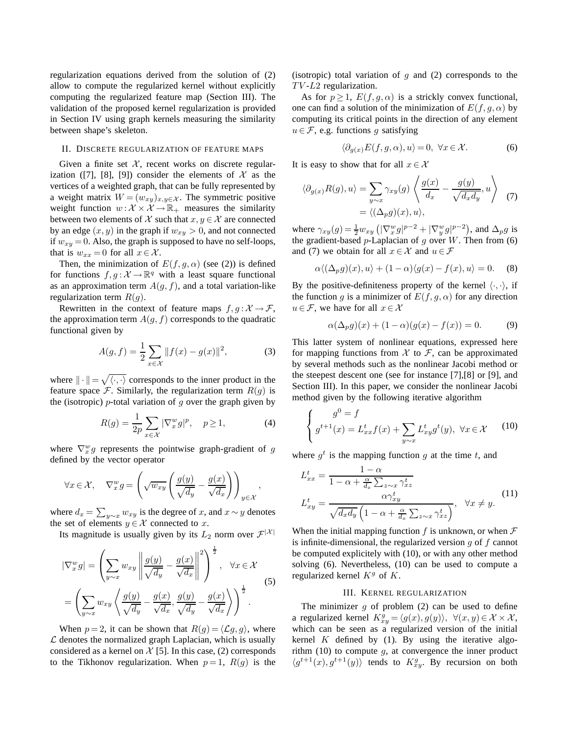regularization equations derived from the solution of (2) allow to compute the regularized kernel without explicitly computing the regularized feature map (Section III). The validation of the proposed kernel regularization is provided in Section IV using graph kernels measuring the similarity between shape's skeleton.

## II. DISCRETE REGULARIZATION OF FEATURE MAPS

Given a finite set  $X$ , recent works on discrete regularization ([7], [8], [9]) consider the elements of  $\mathcal X$  as the vertices of a weighted graph, that can be fully represented by a weight matrix  $W = (w_{xy})_{x,y \in \mathcal{X}}$ . The symmetric positive weight function  $w : \mathcal{X} \times \mathcal{X} \to \mathbb{R}_+$  measures the similarity between two elements of X such that  $x, y \in \mathcal{X}$  are connected by an edge  $(x, y)$  in the graph if  $w_{xy} > 0$ , and not connected if  $w_{xy} = 0$ . Also, the graph is supposed to have no self-loops, that is  $w_{xx} = 0$  for all  $x \in \mathcal{X}$ .

Then, the minimization of  $E(f, g, \alpha)$  (see (2)) is defined for functions  $f, g: \mathcal{X} \to \mathbb{R}^q$  with a least square functional as an approximation term  $A(g, f)$ , and a total variation-like regularization term  $R(q)$ .

Rewritten in the context of feature maps  $f, g: \mathcal{X} \to \mathcal{F}$ , the approximation term  $A(g, f)$  corresponds to the quadratic functional given by

$$
A(g, f) = \frac{1}{2} \sum_{x \in \mathcal{X}} ||f(x) - g(x)||^2,
$$
 (3)

where  $\|\cdot\| = \sqrt{\langle \cdot, \cdot \rangle}$  corresponds to the inner product in the feature space F. Similarly, the regularization term  $R(q)$  is the (isotropic)  $p$ -total variation of  $q$  over the graph given by

$$
R(g) = \frac{1}{2p} \sum_{x \in \mathcal{X}} |\nabla_x^w g|^p, \quad p \ge 1,
$$
 (4)

where  $\nabla_x^w g$  represents the pointwise graph-gradient of g defined by the vector operator

$$
\forall x \in \mathcal{X}, \quad \nabla_x^w g = \left(\sqrt{w_{xy}} \left(\frac{g(y)}{\sqrt{d_y}} - \frac{g(x)}{\sqrt{d_x}}\right)\right)_{y \in \mathcal{X}},
$$

where  $d_x = \sum_{y \sim x} w_{xy}$  is the degree of x, and  $x \sim y$  denotes the set of elements  $y \in \mathcal{X}$  connected to x.

Its magnitude is usually given by its  $L_2$  norm over  $\mathcal{F}^{|\mathcal{X}|}$ 

$$
|\nabla_x^w g| = \left(\sum_{y \sim x} w_{xy} \left\| \frac{g(y)}{\sqrt{d_y}} - \frac{g(x)}{\sqrt{d_x}} \right\|^2 \right)^{\frac{1}{2}}, \quad \forall x \in \mathcal{X}
$$

$$
= \left(\sum_{y \sim x} w_{xy} \left\langle \frac{g(y)}{\sqrt{d_y}} - \frac{g(x)}{\sqrt{d_x}}, \frac{g(y)}{\sqrt{d_y}} - \frac{g(x)}{\sqrt{d_x}} \right\rangle \right)^{\frac{1}{2}}.
$$
(5)

When  $p = 2$ , it can be shown that  $R(g) = \langle \mathcal{L}g, g \rangle$ , where  $\mathcal L$  denotes the normalized graph Laplacian, which is usually considered as a kernel on  $\mathcal{X}$  [5]. In this case, (2) corresponds to the Tikhonov regularization. When  $p=1$ ,  $R(g)$  is the (isotropic) total variation of  $g$  and (2) corresponds to the  $TV-L2$  regularization.

As for  $p \ge 1$ ,  $E(f, g, \alpha)$  is a strickly convex functional, one can find a solution of the minimization of  $E(f, g, \alpha)$  by computing its critical points in the direction of any element  $u \in \mathcal{F}$ , e.g. functions g satisfying

$$
\langle \partial_{g(x)} E(f, g, \alpha), u \rangle = 0, \ \forall x \in \mathcal{X}.
$$
 (6)

It is easy to show that for all  $x \in \mathcal{X}$ 

$$
\langle \partial_{g(x)} R(g), u \rangle = \sum_{y \sim x} \gamma_{xy}(g) \left\langle \frac{g(x)}{d_x} - \frac{g(y)}{\sqrt{d_x d_y}}, u \right\rangle
$$
  
=  $\langle (\Delta_p g)(x), u \rangle$ , (7)

where  $\gamma_{xy}(g) = \frac{1}{2} w_{xy} (|\nabla_x^w g|^{p-2} + |\nabla_y^w g|^{p-2})$ , and  $\Delta_p g$  is the gradient-based  $p$ -Laplacian of  $g$  over  $W$ . Then from (6) and (7) we obtain for all  $x \in \mathcal{X}$  and  $u \in \mathcal{F}$ 

$$
\alpha \langle (\Delta_p g)(x), u \rangle + (1 - \alpha) \langle g(x) - f(x), u \rangle = 0. \tag{8}
$$

By the positive-definiteness property of the kernel  $\langle \cdot, \cdot \rangle$ , if the function g is a minimizer of  $E(f, g, \alpha)$  for any direction  $u \in \mathcal{F}$ , we have for all  $x \in \mathcal{X}$ 

$$
\alpha(\Delta_p g)(x) + (1 - \alpha)(g(x) - f(x)) = 0.
$$
 (9)

This latter system of nonlinear equations, expressed here for mapping functions from  $\mathcal X$  to  $\mathcal F$ , can be approximated by several methods such as the nonlinear Jacobi method or the steepest descent one (see for instance [7],[8] or [9], and Section III). In this paper, we consider the nonlinear Jacobi method given by the following iterative algorithm

$$
\begin{cases}\ng^{0} = f \\
g^{t+1}(x) = L_{xx}^{t} f(x) + \sum_{y \sim x} L_{xy}^{t} g^{t}(y), \ \forall x \in \mathcal{X}\n\end{cases}
$$
\n(10)

where  $g^t$  is the mapping function g at the time t, and

$$
L_{xx}^{t} = \frac{1 - \alpha}{1 - \alpha + \frac{\alpha}{d_x} \sum_{z \sim x} \gamma_{xz}^{t}} \nL_{xy}^{t} = \frac{\alpha \gamma_{xy}^{t}}{\sqrt{d_x d_y} \left(1 - \alpha + \frac{\alpha}{d_x} \sum_{z \sim x} \gamma_{xz}^{t}\right)}, \quad \forall x \neq y.
$$
\n(11)

When the initial mapping function f is unknown, or when  $\mathcal F$ is infinite-dimensional, the regularized version  $q$  of  $f$  cannot be computed explicitely with (10), or with any other method solving (6). Nevertheless, (10) can be used to compute a regularized kernel  $K<sup>g</sup>$  of K.

### III. KERNEL REGULARIZATION

The minimizer  $g$  of problem (2) can be used to define a regularized kernel  $K_{xy}^g = \langle g(x), g(y) \rangle$ ,  $\forall (x, y) \in \mathcal{X} \times \mathcal{X}$ , which can be seen as a regularized version of the initial kernel  $K$  defined by (1). By using the iterative algorithm  $(10)$  to compute g, at convergence the inner product  $\langle g^{t+1}(x), g^{t+1}(y) \rangle$  tends to  $K_{xy}^g$ . By recursion on both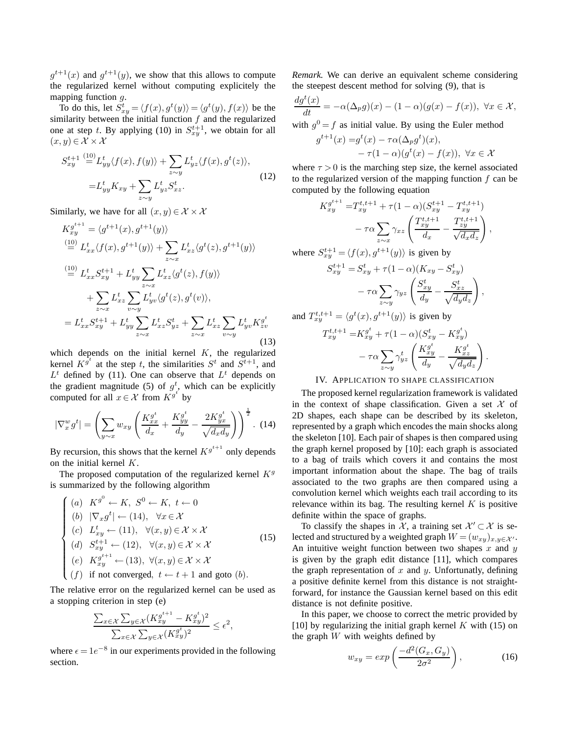$g^{t+1}(x)$  and  $g^{t+1}(y)$ , we show that this allows to compute the regularized kernel without computing explicitely the mapping function g.

To do this, let  $S_{xy}^t = \langle f(x), g^t(y) \rangle = \langle g^t(y), f(x) \rangle$  be the similarity between the initial function  $f$  and the regularized one at step t. By applying (10) in  $S_{xy}^{t+1}$ , we obtain for all  $(x, y) \in \mathcal{X} \times \mathcal{X}$ 

$$
S_{xy}^{t+1} \stackrel{(10)}{=} L_{yy}^t \langle f(x), f(y) \rangle + \sum_{z \sim y} L_{yz}^t \langle f(x), g^t(z) \rangle,
$$
  

$$
= L_{yy}^t K_{xy} + \sum_{z \sim y} L_{yz}^t S_{xz}^t.
$$
 (12)

Similarly, we have for all  $(x, y) \in \mathcal{X} \times \mathcal{X}$ 

$$
K_{xy}^{g^{t+1}} = \langle g^{t+1}(x), g^{t+1}(y) \rangle
$$
  
\n
$$
\stackrel{(10)}{=} L_{xx}^t \langle f(x), g^{t+1}(y) \rangle + \sum_{z \sim x} L_{xz}^t \langle g^t(z), g^{t+1}(y) \rangle
$$
  
\n
$$
\stackrel{(10)}{=} L_{xx}^t S_{xy}^{t+1} + L_{yy}^t \sum_{z \sim x} L_{xz}^t \langle g^t(z), f(y) \rangle
$$
  
\n
$$
+ \sum_{z \sim x} L_{xz}^t \sum_{v \sim y} L_{yy}^t \langle g^t(z), g^t(v) \rangle,
$$
  
\n
$$
= L_{xx}^t S_{xy}^{t+1} + L_{yy}^t \sum_{z \sim x} L_{xz}^t S_{yz}^t + \sum_{z \sim x} L_{xz}^t \sum_{v \sim y} L_{yy}^t K_{zy}^{g^t}
$$
\n(13)

which depends on the initial kernel  $K$ , the regularized kernel  $K^{g^t}$  at the step t, the similarities  $S^t$  and  $S^{t+1}$ , and  $L<sup>t</sup>$  defined by (11). One can observe that  $L<sup>t</sup>$  depends on the gradient magnitude (5) of  $g^t$ , which can be explicitly computed for all  $x \in \mathcal{X}$  from  $K^{g^t}$  by

$$
|\nabla_x^w g^t| = \left(\sum_{y \sim x} w_{xy} \left(\frac{K_{xx}^{g^t}}{d_x} + \frac{K_{yy}^{g^t}}{d_y} - \frac{2K_{yx}^{g^t}}{\sqrt{d_x d_y}}\right)\right)^{\frac{1}{2}}.
$$
 (14)

By recursion, this shows that the kernel  $K^{g^{t+1}}$  only depends on the initial kernel K.

The proposed computation of the regularized kernel  $K<sup>g</sup>$ is summarized by the following algorithm

$$
\begin{cases}\n(a) \quad K^{g^0} \leftarrow K, \ S^0 \leftarrow K, \ t \leftarrow 0 \\
(b) \quad |\nabla_x g^t| \leftarrow (14), \ \forall x \in \mathcal{X} \\
(c) \quad L_{xy}^t \leftarrow (11), \ \forall (x, y) \in \mathcal{X} \times \mathcal{X} \\
(d) \quad S_{xy}^{t+1} \leftarrow (12), \ \forall (x, y) \in \mathcal{X} \times \mathcal{X} \\
(e) \quad K_{xy}^{g^{t+1}} \leftarrow (13), \ \forall (x, y) \in \mathcal{X} \times \mathcal{X} \\
(f) \text{ if not converged, } t \leftarrow t+1 \text{ and go to } (b).\n\end{cases}
$$
\n(15)

The relative error on the regularized kernel can be used as a stopping criterion in step (e)

$$
\frac{\sum_{x \in \mathcal{X}} \sum_{y \in \mathcal{X}} (K_{xy}^{g^{t+1}} - K_{xy}^{g^t})^2}{\sum_{x \in \mathcal{X}} \sum_{y \in \mathcal{X}} (K_{xy}^{g^t})^2} \le \epsilon^2
$$

,

where  $\epsilon = 1e^{-8}$  in our experiments provided in the following section.

*Remark.* We can derive an equivalent scheme considering the steepest descent method for solving (9), that is

$$
\frac{dg^t(x)}{dt} = -\alpha(\Delta_p g)(x) - (1 - \alpha)(g(x) - f(x)), \ \forall x \in \mathcal{X},
$$

with  $g^0 = f$  as initial value. By using the Euler method

$$
g^{t+1}(x) = g^t(x) - \tau \alpha(\Delta_p g^t)(x),
$$
  
-  $\tau(1-\alpha)(g^t(x) - f(x)), \ \forall x \in \mathcal{X}$ 

where  $\tau > 0$  is the marching step size, the kernel associated to the regularized version of the mapping function  $f$  can be computed by the following equation

$$
K_{xy}^{g^{t+1}} = T_{xy}^{t,t+1} + \tau (1 - \alpha)(S_{xy}^{t+1} - T_{xy}^{t,t+1})
$$

$$
- \tau \alpha \sum_{z \sim x} \gamma_{xz} \left( \frac{T_{xy}^{t,t+1}}{d_x} - \frac{T_{zy}^{t,t+1}}{\sqrt{d_x d_z}} \right),
$$

where  $S_{xy}^{t+1} = \langle f(x), g^{t+1}(y) \rangle$  is given by

$$
S_{xy}^{t+1} = S_{xy}^t + \tau (1 - \alpha)(K_{xy} - S_{xy}^t)
$$

$$
- \tau \alpha \sum_{z \sim y} \gamma_{yz} \left( \frac{S_{xy}^t}{d_y} - \frac{S_{xz}^t}{\sqrt{d_y d_z}} \right),
$$

and  $T_{xy}^{t,t+1} = \langle g^t(x), g^{t+1}(y) \rangle$  is given by

 $\tau$ 

$$
x_y^{t,t+1} = K_{xy}^{g^t} + \tau (1 - \alpha)(S_{xy}^t - K_{xy}^{g^t})
$$

$$
- \tau \alpha \sum_{z \sim y} \gamma_{yz}^t \left( \frac{K_{xy}^{g^t}}{d_y} - \frac{K_{xz}^{g^t}}{\sqrt{d_y d_z}} \right).
$$

## IV. APPLICATION TO SHAPE CLASSIFICATION

The proposed kernel regularization framework is validated in the context of shape classification. Given a set  $X$  of 2D shapes, each shape can be described by its skeleton, represented by a graph which encodes the main shocks along the skeleton [10]. Each pair of shapes is then compared using the graph kernel proposed by [10]: each graph is associated to a bag of trails which covers it and contains the most important information about the shape. The bag of trails associated to the two graphs are then compared using a convolution kernel which weights each trail according to its relevance within its bag. The resulting kernel  $K$  is positive definite within the space of graphs.

To classify the shapes in  $\mathcal{X}$ , a training set  $\mathcal{X}' \subset \mathcal{X}$  is selected and structured by a weighted graph  $W = (w_{xy})_{x,y \in \mathcal{X}}$ . An intuitive weight function between two shapes  $x$  and  $y$ is given by the graph edit distance [11], which compares the graph representation of  $x$  and  $y$ . Unfortunatly, defining a positive definite kernel from this distance is not straightforward, for instance the Gaussian kernel based on this edit distance is not definite positive.

In this paper, we choose to correct the metric provided by [10] by regularizing the initial graph kernel  $K$  with (15) on the graph  $W$  with weights defined by

$$
w_{xy} = exp\left(\frac{-d^2(G_x, G_y)}{2\sigma^2}\right),\tag{16}
$$